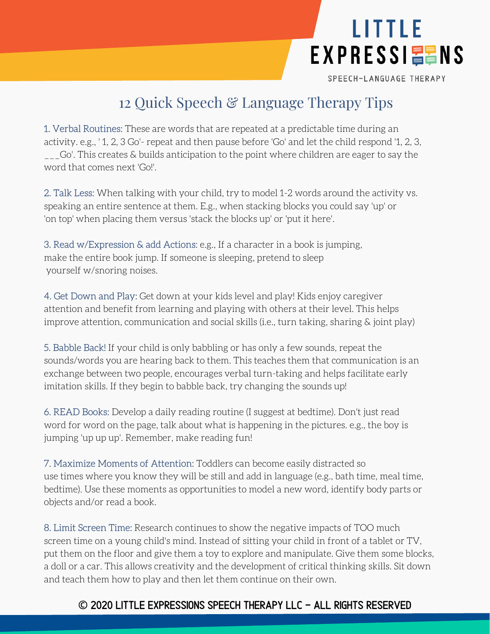

SPEECH-LANGUAGE THERAPY

## 12 Quick Speech & Language Therapy Tips

1. Verbal Routines: These are words that are repeated at a predictable time during an activity. e.g., ' 1, 2, 3 Go'- repeat and then pause before 'Go' and let the child respond '1, 2, 3, \_\_\_Go'. This creates & builds anticipation to the point where children are eager to say the word that comes next 'Go!'.

2. Talk Less: When talking with your child, try to model 1-2 words around the activity vs. speaking an entire sentence at them. E.g., when stacking blocks you could say 'up' or 'on top' when placing them versus 'stack the blocks up' or 'put it here'.

3. Read w/Expression & add Actions: e.g., If a character in a book is jumping, make the entire book jump. If someone is sleeping, pretend to sleep yourself w/snoring noises.

4. Get Down and Play: Get down at your kids level and play! Kids enjoy caregiver attention and benefit from learning and playing with others at their level. This helps improve attention, communication and social skills (i.e., turn taking, sharing & joint play)

5. Babble Back! If your child is only babbling or has only a few sounds, repeat the sounds/words you are hearing back to them. This teaches them that communication is an exchange between two people, encourages verbal turn-taking and helps facilitate early imitation skills. If they begin to babble back, try changing the sounds up!

6. READ Books: Develop a daily reading routine (I suggest at bedtime). Don't just read word for word on the page, talk about what is happening in the pictures. e.g., the boy is jumping 'up up up'. Remember, make reading fun!

7. Maximize Moments of Attention: Toddlers can become easily distracted so use times where you know they will be still and add in language (e.g., bath time, meal time, bedtime). Use these moments as opportunities to model a new word, identify body parts or objects and/or read a book.

8. Limit Screen Time: Research continues to show the negative impacts of TOO much screen time on a young child's mind. Instead of sitting your child in front of a tablet or TV, put them on the floor and give them a toy to explore and manipulate. Give them some blocks, a doll or a car. This allows creativity and the development of critical thinking skills. Sit down and teach them how to play and then let them continue on their own.

## **©** 2020 Little Expressions Speech Therapy LLC - All Rights Reserved